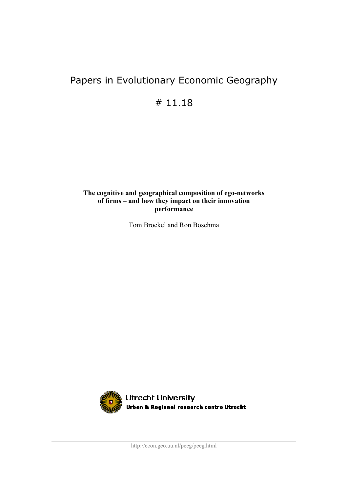# Papers in Evolutionary Economic Geography

# 11.18

### **The cognitive and geographical composition of ego-networks of firms – and how they impact on their innovation performance**

Tom Broekel and Ron Boschma

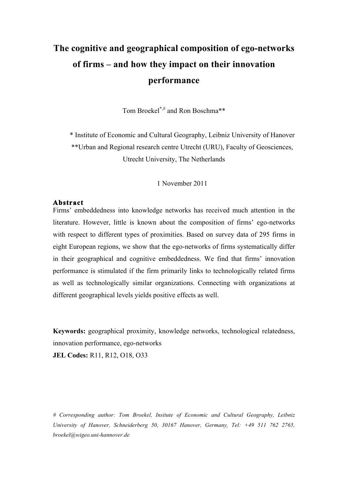# **The cognitive and geographical composition of ego-networks of firms – and how they impact on their innovation performance**

Tom Broekel\*,# and Ron Boschma\*\*

\* Institute of Economic and Cultural Geography, Leibniz University of Hanover \*\*Urban and Regional research centre Utrecht (URU), Faculty of Geosciences, Utrecht University, The Netherlands

1 November 2011

### **Abstract**

Firms' embeddedness into knowledge networks has received much attention in the literature. However, little is known about the composition of firms' ego-networks with respect to different types of proximities. Based on survey data of 295 firms in eight European regions, we show that the ego-networks of firms systematically differ in their geographical and cognitive embeddedness. We find that firms' innovation performance is stimulated if the firm primarily links to technologically related firms as well as technologically similar organizations. Connecting with organizations at different geographical levels yields positive effects as well.

**Keywords:** geographical proximity, knowledge networks, technological relatedness, innovation performance, ego-networks

**JEL Codes:** R11, R12, O18, O33

*# Corresponding author: Tom Broekel, Insitute of Economic and Cultural Geography, Leibniz University of Hanover, Schneiderberg 50, 30167 Hanover, Germany, Tel: +49 511 762 2765, broekel@wigeo.uni-hannover.de*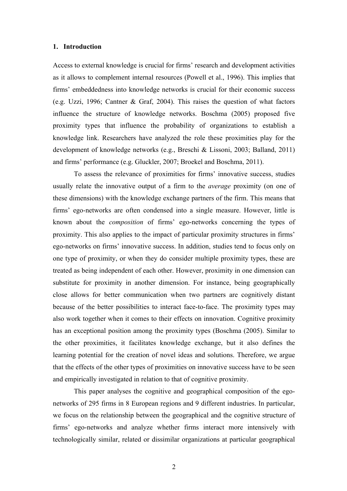#### **1. Introduction**

Access to external knowledge is crucial for firms' research and development activities as it allows to complement internal resources (Powell et al., 1996). This implies that firms' embeddedness into knowledge networks is crucial for their economic success (e.g. Uzzi, 1996; Cantner & Graf, 2004). This raises the question of what factors influence the structure of knowledge networks. Boschma (2005) proposed five proximity types that influence the probability of organizations to establish a knowledge link. Researchers have analyzed the role these proximities play for the development of knowledge networks (e.g., Breschi & Lissoni, 2003; Balland, 2011) and firms' performance (e.g. Gluckler, 2007; Broekel and Boschma, 2011).

To assess the relevance of proximities for firms' innovative success, studies usually relate the innovative output of a firm to the *average* proximity (on one of these dimensions) with the knowledge exchange partners of the firm. This means that firms' ego-networks are often condensed into a single measure. However, little is known about the *composition* of firms' ego-networks concerning the types of proximity. This also applies to the impact of particular proximity structures in firms' ego-networks on firms' innovative success. In addition, studies tend to focus only on one type of proximity, or when they do consider multiple proximity types, these are treated as being independent of each other. However, proximity in one dimension can substitute for proximity in another dimension. For instance, being geographically close allows for better communication when two partners are cognitively distant because of the better possibilities to interact face-to-face. The proximity types may also work together when it comes to their effects on innovation. Cognitive proximity has an exceptional position among the proximity types (Boschma (2005). Similar to the other proximities, it facilitates knowledge exchange, but it also defines the learning potential for the creation of novel ideas and solutions. Therefore, we argue that the effects of the other types of proximities on innovative success have to be seen and empirically investigated in relation to that of cognitive proximity.

This paper analyses the cognitive and geographical composition of the egonetworks of 295 firms in 8 European regions and 9 different industries. In particular, we focus on the relationship between the geographical and the cognitive structure of firms' ego-networks and analyze whether firms interact more intensively with technologically similar, related or dissimilar organizations at particular geographical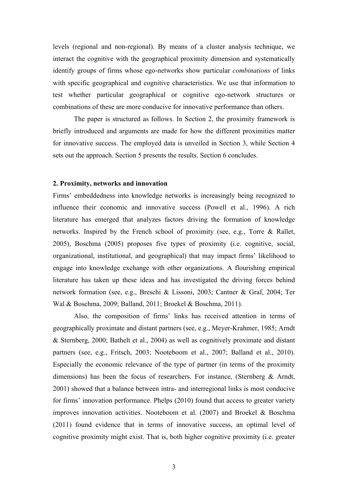levels (regional and non-regional). By means of a cluster analysis technique, we interact the cognitive with the geographical proximity dimension and systematically identify groups of firms whose ego-networks show particular *combinations* of links with specific geographical and cognitive characteristics. We use that information to test whether particular geographical or cognitive ego-network structures or combinations of these are more conducive for innovative performance than others.

The paper is structured as follows. In Section 2, the proximity framework is briefly introduced and arguments are made for how the different proximities matter for innovative success. The employed data is unveiled in Section 3, while Section 4 sets out the approach. Section 5 presents the results. Section 6 concludes.

#### **2. Proximity, networks and innovation**

Firms' embeddedness into knowledge networks is increasingly being recognized to influence their economic and innovative success (Powell et al., 1996). A rich literature has emerged that analyzes factors driving the formation of knowledge networks. Inspired by the French school of proximity (see, e.g., Torre & Rallet, 2005), Boschma (2005) proposes five types of proximity (i.e. cognitive, social, organizational, institutional, and geographical) that may impact firms' likelihood to engage into knowledge exchange with other organizations. A flourishing empirical literature has taken up these ideas and has investigated the driving forces behind network formation (see, e.g., Breschi & Lissoni, 2003; Cantner & Graf, 2004; Ter Wal & Boschma, 2009; Balland, 2011; Broekel & Boschma, 2011).

Also, the composition of firms' links has received attention in terms of geographically proximate and distant partners (see, e.g., Meyer-Krahmer, 1985; Arndt & Sternberg, 2000; Bathelt et al., 2004) as well as cognitively proximate and distant partners (see, e.g., Fritsch, 2003; Nooteboom et al., 2007; Balland et al., 2010). Especially the economic relevance of the type of partner (in terms of the proximity dimensions) has been the focus of researchers. For instance, (Sternberg & Arndt, 2001) showed that a balance between intra- and interregional links is most conducive for firms' innovation performance. Phelps (2010) found that access to greater variety improves innovation activities. Nooteboom et al. (2007) and Broekel & Boschma (2011) found evidence that in terms of innovative success, an optimal level of cognitive proximity might exist. That is, both higher cognitive proximity (i.e. greater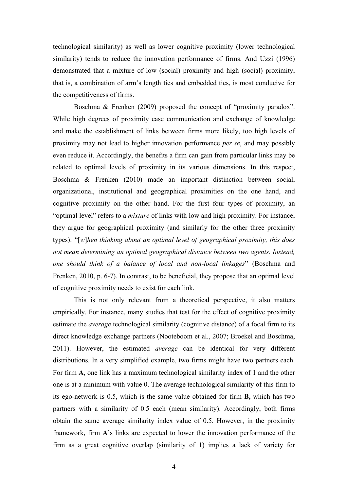technological similarity) as well as lower cognitive proximity (lower technological similarity) tends to reduce the innovation performance of firms. And Uzzi (1996) demonstrated that a mixture of low (social) proximity and high (social) proximity, that is, a combination of arm's length ties and embedded ties, is most conducive for the competitiveness of firms.

Boschma & Frenken (2009) proposed the concept of "proximity paradox". While high degrees of proximity ease communication and exchange of knowledge and make the establishment of links between firms more likely, too high levels of proximity may not lead to higher innovation performance *per se*, and may possibly even reduce it. Accordingly, the benefits a firm can gain from particular links may be related to optimal levels of proximity in its various dimensions. In this respect, Boschma & Frenken (2010) made an important distinction between social, organizational, institutional and geographical proximities on the one hand, and cognitive proximity on the other hand. For the first four types of proximity, an "optimal level" refers to a *mixture* of links with low and high proximity. For instance, they argue for geographical proximity (and similarly for the other three proximity types): "[*w*]*hen thinking about an optimal level of geographical proximity, this does not mean determining an optimal geographical distance between two agents. Instead, one should think of a balance of local and non-local linkages*" (Boschma and Frenken, 2010, p. 6-7). In contrast, to be beneficial, they propose that an optimal level of cognitive proximity needs to exist for each link.

This is not only relevant from a theoretical perspective, it also matters empirically. For instance, many studies that test for the effect of cognitive proximity estimate the *average* technological similarity (cognitive distance) of a focal firm to its direct knowledge exchange partners (Nooteboom et al., 2007; Broekel and Boschma, 2011). However, the estimated *average* can be identical for very different distributions. In a very simplified example, two firms might have two partners each. For firm **A**, one link has a maximum technological similarity index of 1 and the other one is at a minimum with value 0. The average technological similarity of this firm to its ego-network is 0.5, which is the same value obtained for firm **B,** which has two partners with a similarity of 0.5 each (mean similarity). Accordingly, both firms obtain the same average similarity index value of 0.5. However, in the proximity framework, firm **A**'s links are expected to lower the innovation performance of the firm as a great cognitive overlap (similarity of 1) implies a lack of variety for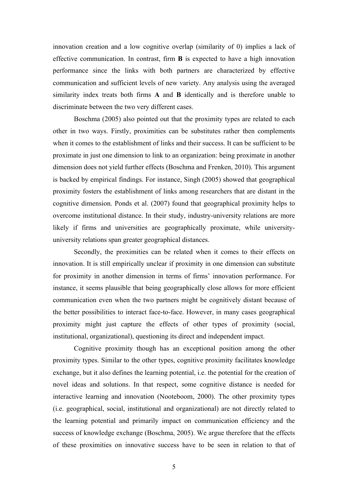innovation creation and a low cognitive overlap (similarity of 0) implies a lack of effective communication. In contrast, firm **B** is expected to have a high innovation performance since the links with both partners are characterized by effective communication and sufficient levels of new variety. Any analysis using the averaged similarity index treats both firms **A** and **B** identically and is therefore unable to discriminate between the two very different cases.

Boschma (2005) also pointed out that the proximity types are related to each other in two ways. Firstly, proximities can be substitutes rather then complements when it comes to the establishment of links and their success. It can be sufficient to be proximate in just one dimension to link to an organization: being proximate in another dimension does not yield further effects (Boschma and Frenken, 2010). This argument is backed by empirical findings. For instance, Singh (2005) showed that geographical proximity fosters the establishment of links among researchers that are distant in the cognitive dimension. Ponds et al. (2007) found that geographical proximity helps to overcome institutional distance. In their study, industry-university relations are more likely if firms and universities are geographically proximate, while universityuniversity relations span greater geographical distances.

Secondly, the proximities can be related when it comes to their effects on innovation. It is still empirically unclear if proximity in one dimension can substitute for proximity in another dimension in terms of firms' innovation performance. For instance, it seems plausible that being geographically close allows for more efficient communication even when the two partners might be cognitively distant because of the better possibilities to interact face-to-face. However, in many cases geographical proximity might just capture the effects of other types of proximity (social, institutional, organizational), questioning its direct and independent impact.

Cognitive proximity though has an exceptional position among the other proximity types. Similar to the other types, cognitive proximity facilitates knowledge exchange, but it also defines the learning potential, i.e. the potential for the creation of novel ideas and solutions. In that respect, some cognitive distance is needed for interactive learning and innovation (Nooteboom, 2000). The other proximity types (i.e. geographical, social, institutional and organizational) are not directly related to the learning potential and primarily impact on communication efficiency and the success of knowledge exchange (Boschma, 2005). We argue therefore that the effects of these proximities on innovative success have to be seen in relation to that of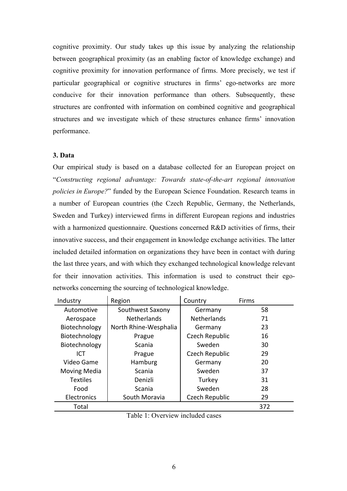cognitive proximity. Our study takes up this issue by analyzing the relationship between geographical proximity (as an enabling factor of knowledge exchange) and cognitive proximity for innovation performance of firms. More precisely, we test if particular geographical or cognitive structures in firms' ego-networks are more conducive for their innovation performance than others. Subsequently, these structures are confronted with information on combined cognitive and geographical structures and we investigate which of these structures enhance firms' innovation performance.

#### **3. Data**

Our empirical study is based on a database collected for an European project on "*Constructing regional advantage: Towards state-of-the-art regional innovation policies in Europe?*" funded by the European Science Foundation. Research teams in a number of European countries (the Czech Republic, Germany, the Netherlands, Sweden and Turkey) interviewed firms in different European regions and industries with a harmonized questionnaire. Questions concerned R&D activities of firms, their innovative success, and their engagement in knowledge exchange activities. The latter included detailed information on organizations they have been in contact with during the last three years, and with which they exchanged technological knowledge relevant for their innovation activities. This information is used to construct their egonetworks concerning the sourcing of technological knowledge.

| Industry        | Region                | Country            | Firms |
|-----------------|-----------------------|--------------------|-------|
| Automotive      | Southwest Saxony      | Germany            | 58    |
| Aerospace       | <b>Netherlands</b>    | <b>Netherlands</b> | 71    |
| Biotechnology   | North Rhine-Wesphalia | Germany            | 23    |
| Biotechnology   | Prague                | Czech Republic     | 16    |
| Biotechnology   | Scania                | Sweden             | 30    |
| ICT             | Prague                | Czech Republic     | 29    |
| Video Game      | Hamburg               | Germany            | 20    |
| Moving Media    | Scania                | Sweden             | 37    |
| <b>Textiles</b> | Denizli               | Turkey             | 31    |
| Food            | Scania                | Sweden             | 28    |
| Electronics     | South Moravia         | Czech Republic     | 29    |
| Total           |                       |                    | 372   |

| Table 1: Overview included cases |  |
|----------------------------------|--|
|----------------------------------|--|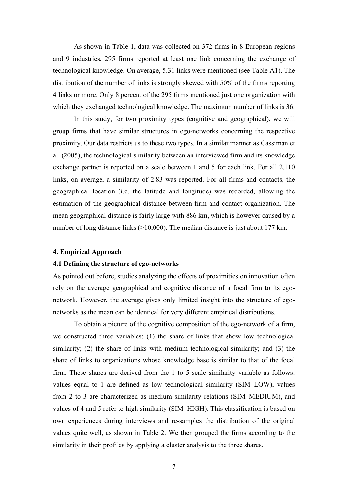As shown in Table 1, data was collected on 372 firms in 8 European regions and 9 industries. 295 firms reported at least one link concerning the exchange of technological knowledge. On average, 5.31 links were mentioned (see Table A1). The distribution of the number of links is strongly skewed with 50% of the firms reporting 4 links or more. Only 8 percent of the 295 firms mentioned just one organization with which they exchanged technological knowledge. The maximum number of links is 36.

In this study, for two proximity types (cognitive and geographical), we will group firms that have similar structures in ego-networks concerning the respective proximity. Our data restricts us to these two types. In a similar manner as Cassiman et al. (2005), the technological similarity between an interviewed firm and its knowledge exchange partner is reported on a scale between 1 and 5 for each link. For all 2,110 links, on average, a similarity of 2.83 was reported. For all firms and contacts, the geographical location (i.e. the latitude and longitude) was recorded, allowing the estimation of the geographical distance between firm and contact organization. The mean geographical distance is fairly large with 886 km, which is however caused by a number of long distance links (>10,000). The median distance is just about 177 km.

#### **4. Empirical Approach**

#### **4.1 Defining the structure of ego-networks**

As pointed out before, studies analyzing the effects of proximities on innovation often rely on the average geographical and cognitive distance of a focal firm to its egonetwork. However, the average gives only limited insight into the structure of egonetworks as the mean can be identical for very different empirical distributions.

To obtain a picture of the cognitive composition of the ego-network of a firm, we constructed three variables: (1) the share of links that show low technological similarity; (2) the share of links with medium technological similarity; and (3) the share of links to organizations whose knowledge base is similar to that of the focal firm. These shares are derived from the 1 to 5 scale similarity variable as follows: values equal to 1 are defined as low technological similarity (SIM\_LOW), values from 2 to 3 are characterized as medium similarity relations (SIM\_MEDIUM), and values of 4 and 5 refer to high similarity (SIM\_HIGH). This classification is based on own experiences during interviews and re-samples the distribution of the original values quite well, as shown in Table 2. We then grouped the firms according to the similarity in their profiles by applying a cluster analysis to the three shares.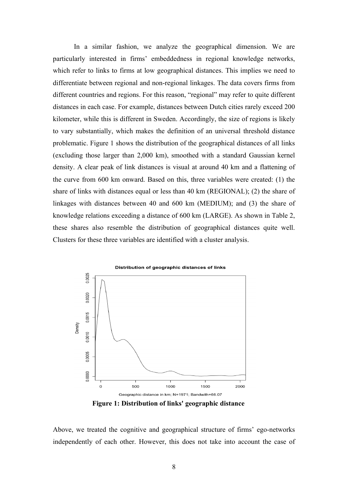In a similar fashion, we analyze the geographical dimension. We are particularly interested in firms' embeddedness in regional knowledge networks, which refer to links to firms at low geographical distances. This implies we need to differentiate between regional and non-regional linkages. The data covers firms from different countries and regions. For this reason, "regional" may refer to quite different distances in each case. For example, distances between Dutch cities rarely exceed 200 kilometer, while this is different in Sweden. Accordingly, the size of regions is likely to vary substantially, which makes the definition of an universal threshold distance problematic. Figure 1 shows the distribution of the geographical distances of all links (excluding those larger than 2,000 km), smoothed with a standard Gaussian kernel density. A clear peak of link distances is visual at around 40 km and a flattening of the curve from 600 km onward. Based on this, three variables were created: (1) the share of links with distances equal or less than 40 km (REGIONAL); (2) the share of linkages with distances between 40 and 600 km (MEDIUM); and (3) the share of knowledge relations exceeding a distance of 600 km (LARGE). As shown in Table 2, these shares also resemble the distribution of geographical distances quite well. Clusters for these three variables are identified with a cluster analysis.



**Figure 1: Distribution of links' geographic distance**

Above, we treated the cognitive and geographical structure of firms' ego-networks independently of each other. However, this does not take into account the case of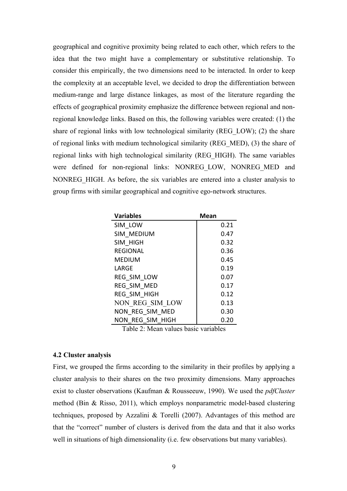geographical and cognitive proximity being related to each other, which refers to the idea that the two might have a complementary or substitutive relationship. To consider this empirically, the two dimensions need to be interacted. In order to keep the complexity at an acceptable level, we decided to drop the differentiation between medium-range and large distance linkages, as most of the literature regarding the effects of geographical proximity emphasize the difference between regional and nonregional knowledge links. Based on this, the following variables were created: (1) the share of regional links with low technological similarity (REG\_LOW); (2) the share of regional links with medium technological similarity (REG\_MED), (3) the share of regional links with high technological similarity (REG\_HIGH). The same variables were defined for non-regional links: NONREG LOW, NONREG MED and NONREG\_HIGH. As before, the six variables are entered into a cluster analysis to group firms with similar geographical and cognitive ego-network structures.

| <b>Variables</b>                     | <b>Mean</b> |
|--------------------------------------|-------------|
| SIM LOW                              | 0.21        |
| SIM MEDIUM                           | 0.47        |
| SIM HIGH                             | 0.32        |
| <b>REGIONAL</b>                      | 0.36        |
| <b>MEDIUM</b>                        | 0.45        |
| LARGE                                | 0.19        |
| REG SIM LOW                          | 0.07        |
| REG SIM MED                          | 0.17        |
| REG SIM HIGH                         | 0.12        |
| NON REG SIM LOW                      | 0.13        |
| NON REG SIM MED                      | 0.30        |
| NON REG SIM HIGH                     | 0.20        |
| Table 2: Moon values besie veriables |             |

Table 2: Mean values basic variables

#### **4.2 Cluster analysis**

First, we grouped the firms according to the similarity in their profiles by applying a cluster analysis to their shares on the two proximity dimensions. Many approaches exist to cluster observations (Kaufman & Rousseeuw, 1990). We used the *pdfCluster* method (Bin & Risso, 2011), which employs nonparametric model-based clustering techniques, proposed by Azzalini & Torelli (2007). Advantages of this method are that the "correct" number of clusters is derived from the data and that it also works well in situations of high dimensionality (i.e. few observations but many variables).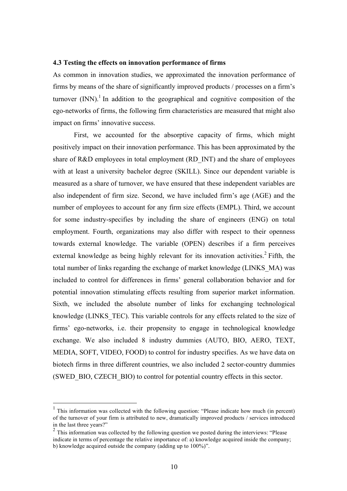#### **4.3 Testing the effects on innovation performance of firms**

As common in innovation studies, we approximated the innovation performance of firms by means of the share of significantly improved products / processes on a firm's turnover  $(NN)^{1}$ . In addition to the geographical and cognitive composition of the ego-networks of firms, the following firm characteristics are measured that might also impact on firms' innovative success.

First, we accounted for the absorptive capacity of firms, which might positively impact on their innovation performance. This has been approximated by the share of R&D employees in total employment (RD\_INT) and the share of employees with at least a university bachelor degree (SKILL). Since our dependent variable is measured as a share of turnover, we have ensured that these independent variables are also independent of firm size. Second, we have included firm's age (AGE) and the number of employees to account for any firm size effects (EMPL). Third, we account for some industry-specifies by including the share of engineers (ENG) on total employment. Fourth, organizations may also differ with respect to their openness towards external knowledge. The variable (OPEN) describes if a firm perceives external knowledge as being highly relevant for its innovation activities.<sup>2</sup> Fifth, the total number of links regarding the exchange of market knowledge (LINKS\_MA) was included to control for differences in firms' general collaboration behavior and for potential innovation stimulating effects resulting from superior market information. Sixth, we included the absolute number of links for exchanging technological knowledge (LINKS\_TEC). This variable controls for any effects related to the size of firms' ego-networks, i.e. their propensity to engage in technological knowledge exchange. We also included 8 industry dummies (AUTO, BIO, AERO, TEXT, MEDIA, SOFT, VIDEO, FOOD) to control for industry specifies. As we have data on biotech firms in three different countries, we also included 2 sector-country dummies (SWED\_BIO, CZECH\_BIO) to control for potential country effects in this sector.

 <sup>1</sup> This information was collected with the following question: "Please indicate how much (in percent) of the turnover of your firm is attributed to new, dramatically improved products / services introduced in the last three years?"

<sup>&</sup>lt;sup>2</sup> This information was collected by the following question we posted during the interviews: "Please indicate in terms of percentage the relative importance of: a) knowledge acquired inside the company; b) knowledge acquired outside the company (adding up to 100%)".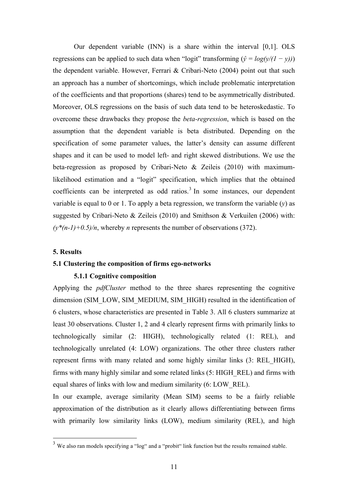Our dependent variable (INN) is a share within the interval [0,1]. OLS regressions can be applied to such data when "logit" transforming  $(\hat{v} = log(y/(1 - y)))$ the dependent variable. However, Ferrari & Cribari-Neto (2004) point out that such an approach has a number of shortcomings, which include problematic interpretation of the coefficients and that proportions (shares) tend to be asymmetrically distributed. Moreover, OLS regressions on the basis of such data tend to be heteroskedastic. To overcome these drawbacks they propose the *beta-regression*, which is based on the assumption that the dependent variable is beta distributed. Depending on the specification of some parameter values, the latter's density can assume different shapes and it can be used to model left- and right skewed distributions. We use the beta-regression as proposed by Cribari-Neto & Zeileis (2010) with maximumlikelihood estimation and a "logit" specification, which implies that the obtained coefficients can be interpreted as odd ratios.<sup>3</sup> In some instances, our dependent variable is equal to 0 or 1. To apply a beta regression, we transform the variable (*y*) as suggested by Cribari-Neto & Zeileis (2010) and Smithson & Verkuilen (2006) with:  $(y^*(n-1)+0.5)/n$ , whereby *n* represents the number of observations (372).

#### **5. Results**

#### **5.1 Clustering the composition of firms ego-networks**

#### **5.1.1 Cognitive composition**

Applying the *pdfCluster* method to the three shares representing the cognitive dimension (SIM\_LOW, SIM\_MEDIUM, SIM\_HIGH) resulted in the identification of 6 clusters, whose characteristics are presented in Table 3. All 6 clusters summarize at least 30 observations. Cluster 1, 2 and 4 clearly represent firms with primarily links to technologically similar (2: HIGH), technologically related (1: REL), and technologically unrelated (4: LOW) organizations. The other three clusters rather represent firms with many related and some highly similar links (3: REL\_HIGH), firms with many highly similar and some related links (5: HIGH\_REL) and firms with equal shares of links with low and medium similarity (6: LOW\_REL).

In our example, average similarity (Mean SIM) seems to be a fairly reliable approximation of the distribution as it clearly allows differentiating between firms with primarily low similarity links (LOW), medium similarity (REL), and high

<sup>&</sup>lt;sup>3</sup> We also ran models specifying a "log" and a "probit" link function but the results remained stable.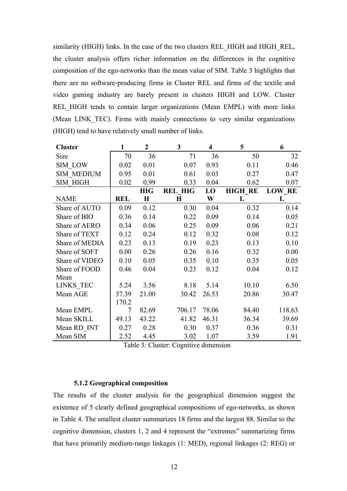similarity (HIGH) links. In the case of the two clusters REL\_HIGH and HIGH\_REL, the cluster analysis offers richer information on the differences in the cognitive composition of the ego-networks than the mean value of SIM. Table 3 highlights that there are no software-producing firms in Cluster REL and firms of the textile and video gaming industry are barely present in clusters HIGH and LOW. Cluster REL HIGH tends to contain larger organizations (Mean EMPL) with more links (Mean LINK TEC). Firms with mainly connections to very similar organizations (HIGH) tend to have relatively small number of links.

| <b>Cluster</b>    | 1          | $\overline{2}$ | 3              | $\overline{\mathbf{4}}$ | 5              | 6             |
|-------------------|------------|----------------|----------------|-------------------------|----------------|---------------|
| Size              | 70         | 36             | 71             | 36                      | 50             | 32            |
| SIM LOW           | 0.02       | 0.01           | 0.07           | 0.93                    | 0.11           | 0.46          |
| <b>SIM MEDIUM</b> | 0.95       | 0.01           | 0.61           | 0.03                    | 0.27           | 0.47          |
| <b>SIM HIGH</b>   | 0.02       | 0.99           | 0.33           | 0.04                    | 0.62           | 0.07          |
|                   |            | <b>HIG</b>     | <b>REL HIG</b> | LO                      | <b>HIGH RE</b> | <b>LOW RE</b> |
| <b>NAME</b>       | <b>REL</b> | H              | $\bf H$        | W                       | L              | L             |
| Share of AUTO     | 0.09       | 0.12           | 0.30           | 0.04                    | 0.32           | 0.14          |
| Share of BIO      | 0.36       | 0.14           | 0.22           | 0.09                    | 0.14           | 0.05          |
| Share of AERO     | 0.34       | 0.06           | 0.25           | 0.09                    | 0.06           | 0.21          |
| Share of TEXT     | 0.12       | 0.24           | 0.12           | 0.32                    | 0.08           | 0.12          |
| Share of MEDIA    | 0.23       | 0.13           | 0.19           | 0.23                    | 0.13           | 0.10          |
| Share of SOFT     | 0.00       | 0.26           | 0.26           | 0.16                    | 0.32           | 0.00          |
| Share of VIDEO    | 0.10       | 0.05           | 0.35           | 0.10                    | 0.35           | 0.05          |
| Share of FOOD     | 0.46       | 0.04           | 0.23           | 0.12                    | 0.04           | 0.12          |
| Mean              |            |                |                |                         |                |               |
| LINKS TEC         | 5.24       | 3.56           | 8.18           | 5.14                    | 10.10          | 6.50          |
| Mean AGE          | 37.39      | 21.00          | 30.42          | 26.53                   | 20.86          | 30.47         |
|                   | 170.2      |                |                |                         |                |               |
| Mean EMPL         | 7          | 82.69          | 706.17         | 78.06                   | 84.40          | 118.63        |
| Mean SKILL        | 49.13      | 43.22          | 41.82          | 46.31                   | 36.34          | 39.69         |
| Mean RD INT       | 0.27       | 0.28           | 0.30           | 0.37                    | 0.36           | 0.31          |
| Mean SIM          | 2.52       | 4.45           | 3.02           | 1.07                    | 3.59           | 1.91          |

Table 3: Cluster: Cognitive dimension

#### **5.1.2 Geographical composition**

The results of the cluster analysis for the geographical dimension suggest the existence of 5 clearly defined geographical compositions of ego-networks, as shown in Table 4. The smallest cluster summarizes 18 firms and the largest 88. Similar to the cognitive dimension, clusters 1, 2 and 4 represent the "extremes" summarizing firms that have primarily medium-range linkages (1: MED), regional linkages (2: REG) or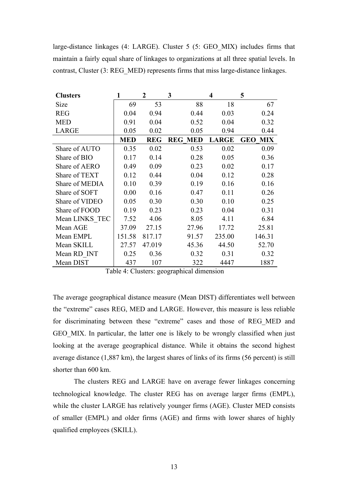large-distance linkages (4: LARGE). Cluster 5 (5: GEO\_MIX) includes firms that maintain a fairly equal share of linkages to organizations at all three spatial levels. In contrast, Cluster (3: REG\_MED) represents firms that miss large-distance linkages.

| <b>Clusters</b>      |            | 2          | 3                        | 4            | 5                        |
|----------------------|------------|------------|--------------------------|--------------|--------------------------|
| Size                 | 69         | 53         | 88                       | 18           | 67                       |
| <b>REG</b>           | 0.04       | 0.94       | 0.44                     | 0.03         | 0.24                     |
| <b>MED</b>           | 0.91       | 0.04       | 0.52                     | 0.04         | 0.32                     |
| <b>LARGE</b>         | 0.05       | 0.02       | 0.05                     | 0.94         | 0.44                     |
|                      | <b>MED</b> | <b>REG</b> | <b>MED</b><br><b>REG</b> | <b>LARGE</b> | <b>MIX</b><br><b>GEO</b> |
| Share of AUTO        | 0.35       | 0.02       | 0.53                     | 0.02         | 0.09                     |
| Share of BIO         | 0.17       | 0.14       | 0.28                     | 0.05         | 0.36                     |
| Share of AERO        | 0.49       | 0.09       | 0.23                     | 0.02         | 0.17                     |
| <b>Share of TEXT</b> | 0.12       | 0.44       | 0.04                     | 0.12         | 0.28                     |
| Share of MEDIA       | 0.10       | 0.39       | 0.19                     | 0.16         | 0.16                     |
| Share of SOFT        | 0.00       | 0.16       | 0.47                     | 0.11         | 0.26                     |
| Share of VIDEO       | 0.05       | 0.30       | 0.30                     | 0.10         | 0.25                     |
| Share of FOOD        | 0.19       | 0.23       | 0.23                     | 0.04         | 0.31                     |
| Mean LINKS TEC       | 7.52       | 4.06       | 8.05                     | 4.11         | 6.84                     |
| Mean AGE             | 37.09      | 27.15      | 27.96                    | 17.72        | 25.81                    |
| Mean EMPL            | 151.58     | 817.17     | 91.57                    | 235.00       | 146.31                   |
| Mean SKILL           | 27.57      | 47.019     | 45.36                    | 44.50        | 52.70                    |
| Mean RD INT          | 0.25       | 0.36       | 0.32                     | 0.31         | 0.32                     |
| Mean DIST            | 437        | 107        | 322                      | 4447         | 1887                     |

The average geographical distance measure (Mean DIST) differentiates well between the "extreme" cases REG, MED and LARGE. However, this measure is less reliable for discriminating between these "extreme" cases and those of REG\_MED and GEO MIX. In particular, the latter one is likely to be wrongly classified when just looking at the average geographical distance. While it obtains the second highest average distance (1,887 km), the largest shares of links of its firms (56 percent) is still shorter than 600 km.

The clusters REG and LARGE have on average fewer linkages concerning technological knowledge. The cluster REG has on average larger firms (EMPL), while the cluster LARGE has relatively younger firms (AGE). Cluster MED consists of smaller (EMPL) and older firms (AGE) and firms with lower shares of highly qualified employees (SKILL).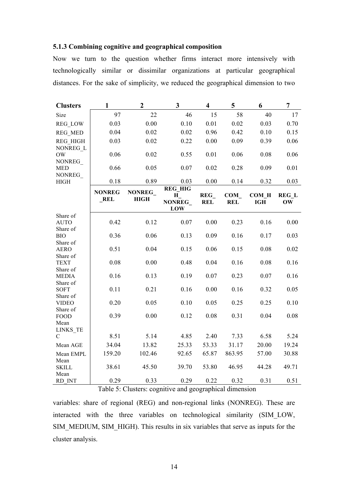#### **5.1.3 Combining cognitive and geographical composition**

Now we turn to the question whether firms interact more intensively with technologically similar or dissimilar organizations at particular geographical distances. For the sake of simplicity, we reduced the geographical dimension to two

| <b>Clusters</b>                     | $\mathbf{1}$  | $\overline{2}$ | $\overline{\mathbf{3}}$         | $\overline{\mathbf{4}}$ | 5                        | 6                   | 7                  |  |
|-------------------------------------|---------------|----------------|---------------------------------|-------------------------|--------------------------|---------------------|--------------------|--|
| Size                                | 97            | 22             | 46                              | 15                      | 58                       | 40                  | 17                 |  |
| <b>REG LOW</b>                      | 0.03          | 0.00           | 0.10                            | 0.01                    | 0.02                     | 0.03                | 0.70               |  |
| <b>REG_MED</b>                      | 0.04          | 0.02           | 0.02                            | 0.96                    | 0.42                     | 0.10                | 0.15               |  |
| REG_HIGH<br>NONREG L                | 0.03          | 0.02           | 0.22                            | 0.00                    | 0.09                     | 0.39                | 0.06               |  |
| <b>OW</b><br>NONREG                 | 0.06          | 0.02           | 0.55                            | 0.01                    | 0.06                     | 0.08                | 0.06               |  |
| <b>MED</b><br>NONREG                | 0.66          | 0.05           | 0.07                            | 0.02                    | 0.28                     | 0.09                | 0.01               |  |
| <b>HIGH</b>                         | 0.18          | 0.89           | 0.03                            | 0.00                    | 0.14                     | 0.32                | 0.03               |  |
|                                     | <b>NONREG</b> | <b>NONREG</b>  | <b>REG HIG</b>                  |                         |                          |                     |                    |  |
|                                     | REL           | <b>HIGH</b>    | $H_{-}$<br><b>NONREG</b><br>LOW | REG<br><b>REL</b>       | <b>COM</b><br><b>REL</b> | COM H<br><b>IGH</b> | <b>REG L</b><br>OW |  |
| Share of                            |               |                |                                 |                         |                          |                     |                    |  |
| <b>AUTO</b>                         | 0.42          | 0.12           | 0.07                            | 0.00                    | 0.23                     | 0.16                | 0.00               |  |
| Share of<br><b>BIO</b>              | 0.36          | 0.06           | 0.13                            | 0.09                    | 0.16                     | 0.17                | 0.03               |  |
| Share of<br><b>AERO</b>             | 0.51          | 0.04           | 0.15                            | 0.06                    | 0.15                     | 0.08                | 0.02               |  |
| Share of<br><b>TEXT</b><br>Share of | 0.08          | 0.00           | 0.48                            | 0.04                    | 0.16                     | 0.08                | 0.16               |  |
| <b>MEDIA</b><br>Share of            | 0.16          | 0.13           | 0.19                            | $0.07\,$                | 0.23                     | 0.07                | 0.16               |  |
| <b>SOFT</b><br>Share of             | 0.11          | 0.21           | 0.16                            | 0.00                    | 0.16                     | 0.32                | 0.05               |  |
| <b>VIDEO</b><br>Share of            | 0.20          | 0.05           | 0.10                            | 0.05                    | 0.25                     | 0.25                | 0.10               |  |
| <b>FOOD</b><br>Mean                 | 0.39          | 0.00           | 0.12                            | 0.08                    | 0.31                     | 0.04                | 0.08               |  |
| LINKS TE                            |               |                |                                 |                         |                          |                     |                    |  |
| $\mathcal{C}$                       | 8.51          | 5.14           | 4.85                            | 2.40                    | 7.33                     | 6.58                | 5.24               |  |
| Mean AGE                            | 34.04         | 13.82          | 25.33                           | 53.33                   | 31.17                    | 20.00               | 19.24              |  |
| Mean EMPL                           | 159.20        | 102.46         | 92.65                           | 65.87                   | 863.95                   | 57.00               | 30.88              |  |
| Mean<br><b>SKILL</b>                | 38.61         | 45.50          | 39.70                           | 53.80                   | 46.95                    | 44.28               | 49.71              |  |
| Mean<br>RD INT                      | 0.29          | 0.33           | 0.29                            | 0.22                    | 0.32                     | 0.31                | 0.51               |  |

Table 5: Clusters: cognitive and geographical dimension

variables: share of regional (REG) and non-regional links (NONREG). These are interacted with the three variables on technological similarity (SIM\_LOW, SIM\_MEDIUM, SIM\_HIGH). This results in six variables that serve as inputs for the cluster analysis.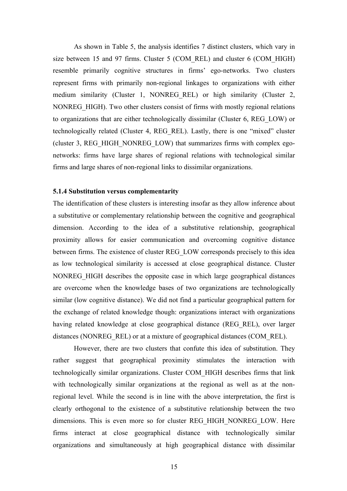As shown in Table 5, the analysis identifies 7 distinct clusters, which vary in size between 15 and 97 firms. Cluster 5 (COM\_REL) and cluster 6 (COM\_HIGH) resemble primarily cognitive structures in firms' ego-networks. Two clusters represent firms with primarily non-regional linkages to organizations with either medium similarity (Cluster 1, NONREG REL) or high similarity (Cluster 2, NONREG\_HIGH). Two other clusters consist of firms with mostly regional relations to organizations that are either technologically dissimilar (Cluster 6, REG\_LOW) or technologically related (Cluster 4, REG\_REL). Lastly, there is one "mixed" cluster (cluster 3, REG\_HIGH\_NONREG\_LOW) that summarizes firms with complex egonetworks: firms have large shares of regional relations with technological similar firms and large shares of non-regional links to dissimilar organizations.

#### **5.1.4 Substitution versus complementarity**

The identification of these clusters is interesting insofar as they allow inference about a substitutive or complementary relationship between the cognitive and geographical dimension. According to the idea of a substitutive relationship, geographical proximity allows for easier communication and overcoming cognitive distance between firms. The existence of cluster REG\_LOW corresponds precisely to this idea as low technological similarity is accessed at close geographical distance. Cluster NONREG\_HIGH describes the opposite case in which large geographical distances are overcome when the knowledge bases of two organizations are technologically similar (low cognitive distance). We did not find a particular geographical pattern for the exchange of related knowledge though: organizations interact with organizations having related knowledge at close geographical distance (REG\_REL), over larger distances (NONREG\_REL) or at a mixture of geographical distances (COM\_REL).

However, there are two clusters that confute this idea of substitution. They rather suggest that geographical proximity stimulates the interaction with technologically similar organizations. Cluster COM\_HIGH describes firms that link with technologically similar organizations at the regional as well as at the nonregional level. While the second is in line with the above interpretation, the first is clearly orthogonal to the existence of a substitutive relationship between the two dimensions. This is even more so for cluster REG\_HIGH\_NONREG\_LOW. Here firms interact at close geographical distance with technologically similar organizations and simultaneously at high geographical distance with dissimilar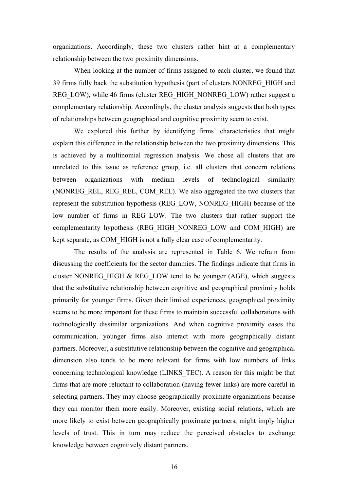organizations. Accordingly, these two clusters rather hint at a complementary relationship between the two proximity dimensions.

When looking at the number of firms assigned to each cluster, we found that 39 firms fully back the substitution hypothesis (part of clusters NONREG\_HIGH and REG\_LOW), while 46 firms (cluster REG\_HIGH\_NONREG\_LOW) rather suggest a complementary relationship. Accordingly, the cluster analysis suggests that both types of relationships between geographical and cognitive proximity seem to exist.

We explored this further by identifying firms' characteristics that might explain this difference in the relationship between the two proximity dimensions. This is achieved by a multinomial regression analysis. We chose all clusters that are unrelated to this issue as reference group, i.e. all clusters that concern relations between organizations with medium levels of technological similarity (NONREG\_REL, REG\_REL, COM\_REL). We also aggregated the two clusters that represent the substitution hypothesis (REG\_LOW, NONREG\_HIGH) because of the low number of firms in REG\_LOW. The two clusters that rather support the complementarity hypothesis (REG\_HIGH\_NONREG\_LOW and COM\_HIGH) are kept separate, as COM\_HIGH is not a fully clear case of complementarity.

The results of the analysis are represented in Table 6. We refrain from discussing the coefficients for the sector dummies. The findings indicate that firms in cluster NONREG HIGH  $&$  REG LOW tend to be younger (AGE), which suggests that the substitutive relationship between cognitive and geographical proximity holds primarily for younger firms. Given their limited experiences, geographical proximity seems to be more important for these firms to maintain successful collaborations with technologically dissimilar organizations. And when cognitive proximity eases the communication, younger firms also interact with more geographically distant partners. Moreover, a substitutive relationship between the cognitive and geographical dimension also tends to be more relevant for firms with low numbers of links concerning technological knowledge (LINKS\_TEC). A reason for this might be that firms that are more reluctant to collaboration (having fewer links) are more careful in selecting partners. They may choose geographically proximate organizations because they can monitor them more easily. Moreover, existing social relations, which are more likely to exist between geographically proximate partners, might imply higher levels of trust. This in turn may reduce the perceived obstacles to exchange knowledge between cognitively distant partners.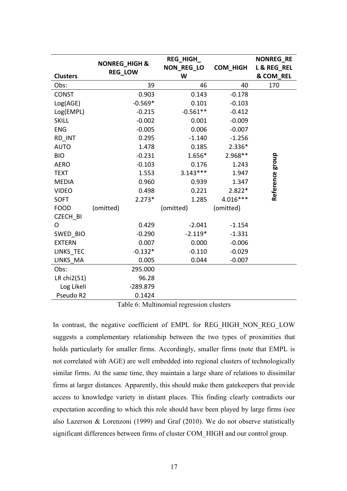|                 | <b>NONREG_HIGH &amp;</b> | REG_HIGH_         |                 | <b>NONREG RE</b> |
|-----------------|--------------------------|-------------------|-----------------|------------------|
|                 | <b>REG LOW</b>           | <b>NON REG LO</b> | <b>COM HIGH</b> | L & REG REL      |
| <b>Clusters</b> |                          | W                 |                 | & COM_REL        |
| Obs:            | 39                       | 46                | 40              | 170              |
| <b>CONST</b>    | 0.903                    | 0.143             | $-0.178$        |                  |
| Log(AGE)        | $-0.569*$                | 0.101             | $-0.103$        |                  |
| Log(EMPL)       | $-0.215$                 | $-0.561**$        | $-0.412$        |                  |
| <b>SKILL</b>    | $-0.002$                 | 0.001             | $-0.009$        |                  |
| <b>ENG</b>      | $-0.005$                 | 0.006             | $-0.007$        |                  |
| RD INT          | 0.295                    | $-1.140$          | $-1.256$        |                  |
| <b>AUTO</b>     | 1.478                    | 0.185             | 2.336*          |                  |
| <b>BIO</b>      | $-0.231$                 | 1.656*            | 2.968**         |                  |
| <b>AERO</b>     | $-0.103$                 | 0.176             | 1.243           |                  |
| <b>TEXT</b>     | 1.553                    | $3.143***$        | 1.947           |                  |
| <b>MEDIA</b>    | 0.960                    | 0.939             | 1.347           |                  |
| <b>VIDEO</b>    | 0.498                    | 0.221             | 2.822*          | Reference group  |
| <b>SOFT</b>     | $2.273*$                 | 1.285             | 4.016***        |                  |
| <b>FOOD</b>     | (omitted)                | (omitted)         | (omitted)       |                  |
| <b>CZECH BI</b> |                          |                   |                 |                  |
| O               | 0.429                    | $-2.041$          | $-1.154$        |                  |
| SWED_BIO        | $-0.290$                 | $-2.119*$         | $-1.331$        |                  |
| <b>EXTERN</b>   | 0.007                    | 0.000             | $-0.006$        |                  |
| LINKS TEC       | $-0.132*$                | $-0.110$          | $-0.029$        |                  |
| LINKS MA        | 0.005                    | 0.044             | $-0.007$        |                  |
| Obs:            | 295.000                  |                   |                 |                  |
| LR chi2(51)     | 96.28                    |                   |                 |                  |
| Log Likeli      | -289.879                 |                   |                 |                  |
| Pseudo R2       | 0.1424                   |                   |                 |                  |

Table 6: Multinomial regression clusters

In contrast, the negative coefficient of EMPL for REG\_HIGH\_NON\_REG\_LOW suggests a complementary relationship between the two types of proximities that holds particularly for smaller firms. Accordingly, smaller firms (note that EMPL is not correlated with AGE) are well embedded into regional clusters of technologically similar firms. At the same time, they maintain a large share of relations to dissimilar firms at larger distances. Apparently, this should make them gatekeepers that provide access to knowledge variety in distant places. This finding clearly contradicts our expectation according to which this role should have been played by large firms (see also Lazerson & Lorenzoni (1999) and Graf (2010). We do not observe statistically significant differences between firms of cluster COM\_HIGH and our control group.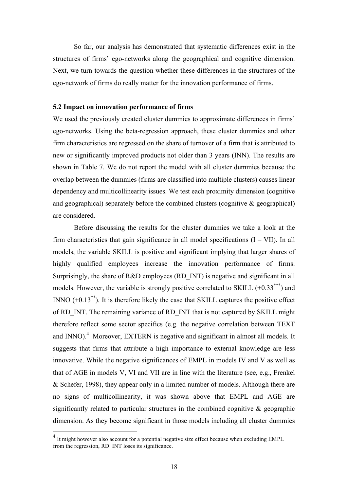So far, our analysis has demonstrated that systematic differences exist in the structures of firms' ego-networks along the geographical and cognitive dimension. Next, we turn towards the question whether these differences in the structures of the ego-network of firms do really matter for the innovation performance of firms.

#### **5.2 Impact on innovation performance of firms**

We used the previously created cluster dummies to approximate differences in firms' ego-networks. Using the beta-regression approach, these cluster dummies and other firm characteristics are regressed on the share of turnover of a firm that is attributed to new or significantly improved products not older than 3 years (INN). The results are shown in Table 7. We do not report the model with all cluster dummies because the overlap between the dummies (firms are classified into multiple clusters) causes linear dependency and multicollinearity issues. We test each proximity dimension (cognitive and geographical) separately before the combined clusters (cognitive & geographical) are considered.

Before discussing the results for the cluster dummies we take a look at the firm characteristics that gain significance in all model specifications  $(I - VII)$ . In all models, the variable SKILL is positive and significant implying that larger shares of highly qualified employees increase the innovation performance of firms. Surprisingly, the share of R&D employees (RD INT) is negative and significant in all models. However, the variable is strongly positive correlated to SKILL  $(+0.33***)$  and INNO  $(+0.13^{**})$ . It is therefore likely the case that SKILL captures the positive effect of RD\_INT. The remaining variance of RD\_INT that is not captured by SKILL might therefore reflect some sector specifics (e.g. the negative correlation between TEXT and  $INNO$ ).<sup>4</sup> Moreover, EXTERN is negative and significant in almost all models. It suggests that firms that attribute a high importance to external knowledge are less innovative. While the negative significances of EMPL in models IV and V as well as that of AGE in models V, VI and VII are in line with the literature (see, e.g., Frenkel & Schefer, 1998), they appear only in a limited number of models. Although there are no signs of multicollinearity, it was shown above that EMPL and AGE are significantly related to particular structures in the combined cognitive  $\&$  geographic dimension. As they become significant in those models including all cluster dummies

<sup>&</sup>lt;sup>4</sup> It might however also account for a potential negative size effect because when excluding EMPL from the regression, RD\_INT loses its significance.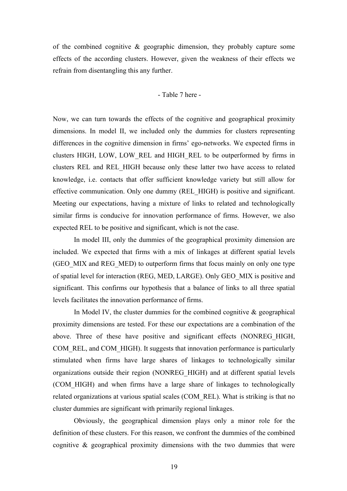of the combined cognitive & geographic dimension, they probably capture some effects of the according clusters. However, given the weakness of their effects we refrain from disentangling this any further.

#### - Table 7 here -

Now, we can turn towards the effects of the cognitive and geographical proximity dimensions. In model II, we included only the dummies for clusters representing differences in the cognitive dimension in firms' ego-networks. We expected firms in clusters HIGH, LOW, LOW\_REL and HIGH\_REL to be outperformed by firms in clusters REL and REL\_HIGH because only these latter two have access to related knowledge, i.e. contacts that offer sufficient knowledge variety but still allow for effective communication. Only one dummy (REL\_HIGH) is positive and significant. Meeting our expectations, having a mixture of links to related and technologically similar firms is conducive for innovation performance of firms. However, we also expected REL to be positive and significant, which is not the case.

In model III, only the dummies of the geographical proximity dimension are included. We expected that firms with a mix of linkages at different spatial levels (GEO MIX and REG MED) to outperform firms that focus mainly on only one type of spatial level for interaction (REG, MED, LARGE). Only GEO\_MIX is positive and significant. This confirms our hypothesis that a balance of links to all three spatial levels facilitates the innovation performance of firms.

In Model IV, the cluster dummies for the combined cognitive  $\&$  geographical proximity dimensions are tested. For these our expectations are a combination of the above. Three of these have positive and significant effects (NONREG\_HIGH, COM\_REL, and COM\_HIGH). It suggests that innovation performance is particularly stimulated when firms have large shares of linkages to technologically similar organizations outside their region (NONREG\_HIGH) and at different spatial levels (COM\_HIGH) and when firms have a large share of linkages to technologically related organizations at various spatial scales (COM\_REL). What is striking is that no cluster dummies are significant with primarily regional linkages.

Obviously, the geographical dimension plays only a minor role for the definition of these clusters. For this reason, we confront the dummies of the combined cognitive & geographical proximity dimensions with the two dummies that were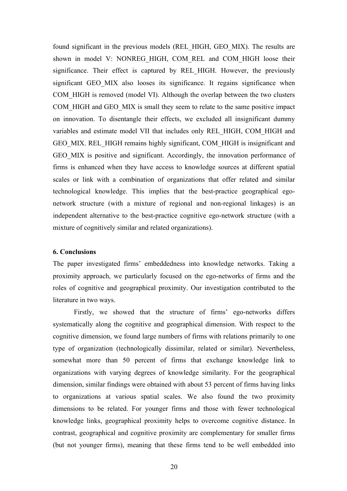found significant in the previous models (REL\_HIGH, GEO\_MIX). The results are shown in model V: NONREG HIGH, COM REL and COM HIGH loose their significance. Their effect is captured by REL HIGH. However, the previously significant GEO MIX also looses its significance. It regains significance when COM\_HIGH is removed (model VI). Although the overlap between the two clusters COM\_HIGH and GEO\_MIX is small they seem to relate to the same positive impact on innovation. To disentangle their effects, we excluded all insignificant dummy variables and estimate model VII that includes only REL\_HIGH, COM\_HIGH and GEO MIX. REL HIGH remains highly significant, COM HIGH is insignificant and GEO\_MIX is positive and significant. Accordingly, the innovation performance of firms is enhanced when they have access to knowledge sources at different spatial scales or link with a combination of organizations that offer related and similar technological knowledge. This implies that the best-practice geographical egonetwork structure (with a mixture of regional and non-regional linkages) is an independent alternative to the best-practice cognitive ego-network structure (with a mixture of cognitively similar and related organizations).

#### **6. Conclusions**

The paper investigated firms' embeddedness into knowledge networks. Taking a proximity approach, we particularly focused on the ego-networks of firms and the roles of cognitive and geographical proximity. Our investigation contributed to the literature in two ways.

Firstly, we showed that the structure of firms' ego-networks differs systematically along the cognitive and geographical dimension. With respect to the cognitive dimension, we found large numbers of firms with relations primarily to one type of organization (technologically dissimilar, related or similar). Nevertheless, somewhat more than 50 percent of firms that exchange knowledge link to organizations with varying degrees of knowledge similarity. For the geographical dimension, similar findings were obtained with about 53 percent of firms having links to organizations at various spatial scales. We also found the two proximity dimensions to be related. For younger firms and those with fewer technological knowledge links, geographical proximity helps to overcome cognitive distance. In contrast, geographical and cognitive proximity are complementary for smaller firms (but not younger firms), meaning that these firms tend to be well embedded into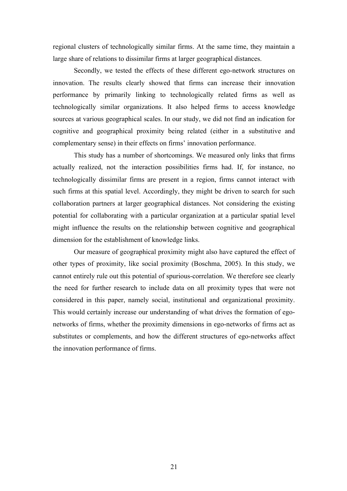regional clusters of technologically similar firms. At the same time, they maintain a large share of relations to dissimilar firms at larger geographical distances.

Secondly, we tested the effects of these different ego-network structures on innovation. The results clearly showed that firms can increase their innovation performance by primarily linking to technologically related firms as well as technologically similar organizations. It also helped firms to access knowledge sources at various geographical scales. In our study, we did not find an indication for cognitive and geographical proximity being related (either in a substitutive and complementary sense) in their effects on firms' innovation performance.

This study has a number of shortcomings. We measured only links that firms actually realized, not the interaction possibilities firms had. If, for instance, no technologically dissimilar firms are present in a region, firms cannot interact with such firms at this spatial level. Accordingly, they might be driven to search for such collaboration partners at larger geographical distances. Not considering the existing potential for collaborating with a particular organization at a particular spatial level might influence the results on the relationship between cognitive and geographical dimension for the establishment of knowledge links.

Our measure of geographical proximity might also have captured the effect of other types of proximity, like social proximity (Boschma, 2005). In this study, we cannot entirely rule out this potential of spurious-correlation. We therefore see clearly the need for further research to include data on all proximity types that were not considered in this paper, namely social, institutional and organizational proximity. This would certainly increase our understanding of what drives the formation of egonetworks of firms, whether the proximity dimensions in ego-networks of firms act as substitutes or complements, and how the different structures of ego-networks affect the innovation performance of firms.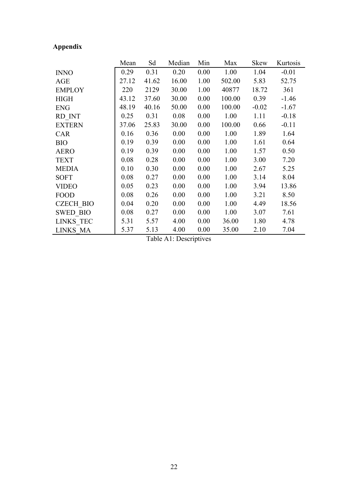# **Appendix**

|                  | Mean  | Sd    | Median | Min  | Max    | Skew    | Kurtosis |
|------------------|-------|-------|--------|------|--------|---------|----------|
| <b>INNO</b>      | 0.29  | 0.31  | 0.20   | 0.00 | 1.00   | 1.04    | $-0.01$  |
| <b>AGE</b>       | 27.12 | 41.62 | 16.00  | 1.00 | 502.00 | 5.83    | 52.75    |
| <b>EMPLOY</b>    | 220   | 2129  | 30.00  | 1.00 | 40877  | 18.72   | 361      |
| <b>HIGH</b>      | 43.12 | 37.60 | 30.00  | 0.00 | 100.00 | 0.39    | $-1.46$  |
| <b>ENG</b>       | 48.19 | 40.16 | 50.00  | 0.00 | 100.00 | $-0.02$ | $-1.67$  |
| RD INT           | 0.25  | 0.31  | 0.08   | 0.00 | 1.00   | 1.11    | $-0.18$  |
| <b>EXTERN</b>    | 37.06 | 25.83 | 30.00  | 0.00 | 100.00 | 0.66    | $-0.11$  |
| <b>CAR</b>       | 0.16  | 0.36  | 0.00   | 0.00 | 1.00   | 1.89    | 1.64     |
| <b>BIO</b>       | 0.19  | 0.39  | 0.00   | 0.00 | 1.00   | 1.61    | 0.64     |
| <b>AERO</b>      | 0.19  | 0.39  | 0.00   | 0.00 | 1.00   | 1.57    | 0.50     |
| <b>TEXT</b>      | 0.08  | 0.28  | 0.00   | 0.00 | 1.00   | 3.00    | 7.20     |
| <b>MEDIA</b>     | 0.10  | 0.30  | 0.00   | 0.00 | 1.00   | 2.67    | 5.25     |
| <b>SOFT</b>      | 0.08  | 0.27  | 0.00   | 0.00 | 1.00   | 3.14    | 8.04     |
| <b>VIDEO</b>     | 0.05  | 0.23  | 0.00   | 0.00 | 1.00   | 3.94    | 13.86    |
| <b>FOOD</b>      | 0.08  | 0.26  | 0.00   | 0.00 | 1.00   | 3.21    | 8.50     |
| <b>CZECH BIO</b> | 0.04  | 0.20  | 0.00   | 0.00 | 1.00   | 4.49    | 18.56    |
| <b>SWED BIO</b>  | 0.08  | 0.27  | 0.00   | 0.00 | 1.00   | 3.07    | 7.61     |
| LINKS TEC        | 5.31  | 5.57  | 4.00   | 0.00 | 36.00  | 1.80    | 4.78     |
| LINKS MA         | 5.37  | 5.13  | 4.00   | 0.00 | 35.00  | 2.10    | 7.04     |

Table A1: Descriptives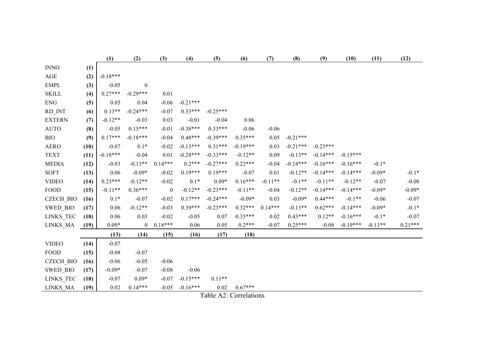|                  |      | (1)        | (2)              | (3)              | (4)        | (5)        | (6)                    | (7)       | (8)        | (9)        | (10)       | (11)      | (12)      |
|------------------|------|------------|------------------|------------------|------------|------------|------------------------|-----------|------------|------------|------------|-----------|-----------|
| <b>INNO</b>      | (1)  |            |                  |                  |            |            |                        |           |            |            |            |           |           |
| AGE              | (2)  | $-0.18***$ |                  |                  |            |            |                        |           |            |            |            |           |           |
| <b>EMPL</b>      | (3)  | $-0.05$    | $\boldsymbol{0}$ |                  |            |            |                        |           |            |            |            |           |           |
| <b>SKILL</b>     | (4)  | $0.27***$  | $-0.29***$       | 0.01             |            |            |                        |           |            |            |            |           |           |
| <b>ENG</b>       | (5)  | 0.05       | 0.04             | $-0.06$          | $-0.21***$ |            |                        |           |            |            |            |           |           |
| RD_INT           | (6)  | $0.13**$   | $-0.24***$       | $-0.07$          | $0.33***$  | $-0.25***$ |                        |           |            |            |            |           |           |
| <b>EXTERN</b>    | (7)  | $-0.12**$  | $-0.03$          | 0.03             | $-0.01$    | $-0.04$    | 0.06                   |           |            |            |            |           |           |
| <b>AUTO</b>      | (8)  | $-0.05$    | $0.15***$        | $-0.01$          | $-0.38***$ | $0.33***$  | $-0.06$                | $-0.06$   |            |            |            |           |           |
| <b>BIO</b>       | (9)  | $0.17***$  | $-0.18***$       | $-0.04$          | $0.48***$  | $-0.39***$ | $0.35***$              | 0.05      | $-0.21***$ |            |            |           |           |
| <b>AERO</b>      | (10) | $-0.07$    | $0.1*$           | $-0.02$          | $-0.13***$ | $0.31***$  | $-0.19***$             | 0.03      | $-0.21***$ | $-0.23***$ |            |           |           |
| <b>TEXT</b>      | (11) | $-0.18***$ | $-0.04$          | 0.01             | $-0.28***$ | $-0.33***$ | $-0.12**$              | 0.09      | $-0.13**$  | $-0.14***$ | $-0.15***$ |           |           |
| <b>MEDIA</b>     | (12) | $-0.03$    | $-0.13**$        | $0.14***$        | $0.2***$   | $-0.27***$ | $0.22***$              | $-0.04$   | $-0.14***$ | $-0.16***$ | $-0.16***$ | $-0.1*$   |           |
| <b>SOFT</b>      | (13) | 0.06       | $-0.09*$         | $-0.02$          | $0.19***$  | $0.19***$  | $-0.07$                | 0.01      | $-0.12**$  | $-0.14***$ | $-0.14***$ | $-0.09*$  | $-0.1*$   |
| <b>VIDEO</b>     | (14) | $0.23***$  | $-0.12**$        | $-0.02$          | $0.1*$     | $0.09*$    | $0.16***$              | $-0.11**$ | $-0.1**$   | $-0.11**$  | $-0.12**$  | $-0.07$   | $-0.08$   |
| <b>FOOD</b>      | (15) | $-0.11**$  | $0.36***$        | $\boldsymbol{0}$ | $-0.12**$  | $-0.23***$ | $-0.11**$              | $-0.04$   | $-0.12**$  | $-0.14***$ | $-0.14***$ | $-0.09*$  | $-0.09*$  |
| <b>CZECH_BIO</b> | (16) | $0.1*$     | $-0.07$          | $-0.02$          | $0.17***$  | $-0.24***$ | $-0.09*$               | 0.03      | $-0.09*$   | $0.44***$  | $-0.1**$   | $-0.06$   | $-0.07$   |
| SWED_BIO         | (17) | 0.06       | $-0.12**$        | $-0.03$          | $0.39***$  | $-0.23***$ | $0.32***$              | $0.14***$ | $-0.13**$  | $0.62***$  | $-0.14***$ | $-0.09*$  | $-0.1*$   |
| LINKS_TEC        | (18) | 0.06       | 0.03             | $-0.02$          | $-0.05$    | 0.07       | $0.35***$              | 0.02      | $0.43***$  | $0.12**$   | $-0.16***$ | $-0.1*$   | $-0.07$   |
| LINKS_MA         | (19) | $0.09*$    | $\boldsymbol{0}$ | $0.18***$        | 0.06       | 0.05       | $0.2***$               | $-0.07$   | $0.25***$  | $-0.08$    | $-0.19***$ | $-0.11**$ | $0.21***$ |
|                  |      | (13)       | (14)             | (15)             | (16)       | (17)       | (18)                   |           |            |            |            |           |           |
| <b>VIDEO</b>     | (14) | $-0.07$    |                  |                  |            |            |                        |           |            |            |            |           |           |
| <b>FOOD</b>      | (15) | $-0.08$    | $-0.07$          |                  |            |            |                        |           |            |            |            |           |           |
| <b>CZECH_BIO</b> | (16) | $-0.06$    | $-0.05$          | $-0.06$          |            |            |                        |           |            |            |            |           |           |
| <b>SWED BIO</b>  | (17) | $-0.09*$   | $-0.07$          | $-0.08$          | $-0.06$    |            |                        |           |            |            |            |           |           |
| LINKS_TEC        | (18) | $-0.07$    | $0.09*$          | $-0.07$          | $-0.15***$ | $0.11**$   |                        |           |            |            |            |           |           |
| LINKS MA         | (19) | 0.02       | $0.14***$        | $-0.05$          | $-0.16***$ | 0.02       | $0.67***$              |           |            |            |            |           |           |
|                  |      |            |                  |                  |            |            | Table A2: Correlations |           |            |            |            |           |           |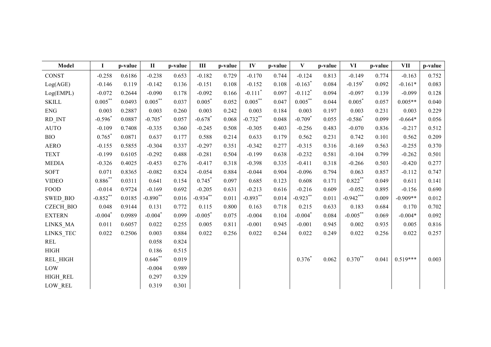| <b>Model</b>     | I                     | p-value | $\mathbf{I}$          | p-value | Ш                     | p-value | IV                    | p-value | $\mathbf{V}$          | p-value | VI                    | p-value | VII        | p-value |
|------------------|-----------------------|---------|-----------------------|---------|-----------------------|---------|-----------------------|---------|-----------------------|---------|-----------------------|---------|------------|---------|
| <b>CONST</b>     | $-0.258$              | 0.6186  | $-0.238$              | 0.653   | $-0.182$              | 0.729   | $-0.170$              | 0.744   | $-0.124$              | 0.813   | $-0.149$              | 0.774   | $-0.163$   | 0.752   |
| Log(AGE)         | $-0.146$              | 0.119   | $-0.142$              | 0.136   | $-0.151$              | 0.108   | $-0.152$              | 0.108   | $-0.163$ <sup>*</sup> | 0.084   | $-0.159$ <sup>*</sup> | 0.092   | $-0.161*$  | 0.083   |
| Log(EMPL)        | $-0.072$              | 0.2644  | $-0.090$              | 0.178   | $-0.092$              | 0.166   | $-0.111$ <sup>*</sup> | 0.097   | $-0.112$ <sup>*</sup> | 0.094   | $-0.097$              | 0.139   | $-0.099$   | 0.128   |
| <b>SKILL</b>     | $0.005***$            | 0.0493  | $0.005***$            | 0.037   | $0.005*$              | 0.052   | $0.005***$            | 0.047   | $0.005***$            | 0.044   | $0.005*$              | 0.057   | $0.005**$  | 0.040   |
| <b>ENG</b>       | 0.003                 | 0.2887  | 0.003                 | 0.260   | 0.003                 | 0.242   | 0.003                 | 0.184   | 0.003                 | 0.197   | 0.003                 | 0.231   | 0.003      | 0.229   |
| RD_INT           | $-0.596*$             | 0.0887  | $-0.705*$             | 0.057   | $-0.678$ <sup>*</sup> | 0.068   | $-0.732**$            | 0.048   | $-0.709$ <sup>*</sup> | 0.055   | $-0.586*$             | 0.099   | $-0.664*$  | 0.056   |
| <b>AUTO</b>      | $-0.109$              | 0.7408  | $-0.335$              | 0.360   | $-0.245$              | 0.508   | $-0.305$              | 0.403   | $-0.256$              | 0.483   | $-0.070$              | 0.836   | $-0.217$   | 0.512   |
| <b>BIO</b>       | $0.765$ <sup>*</sup>  | 0.0871  | 0.637                 | 0.177   | 0.588                 | 0.214   | 0.633                 | 0.179   | 0.562                 | 0.231   | 0.742                 | 0.101   | 0.562      | 0.209   |
| <b>AERO</b>      | $-0.155$              | 0.5855  | $-0.304$              | 0.337   | $-0.297$              | 0.351   | $-0.342$              | 0.277   | $-0.315$              | 0.316   | $-0.169$              | 0.563   | $-0.255$   | 0.370   |
| <b>TEXT</b>      | $-0.199$              | 0.6105  | $-0.292$              | 0.488   | $-0.281$              | 0.504   | $-0.199$              | 0.638   | $-0.232$              | 0.581   | $-0.104$              | 0.799   | $-0.262$   | 0.501   |
| <b>MEDIA</b>     | $-0.326$              | 0.4025  | $-0.453$              | 0.276   | $-0.417$              | 0.318   | $-0.398$              | 0.335   | $-0.411$              | 0.318   | $-0.266$              | 0.503   | $-0.420$   | 0.277   |
| <b>SOFT</b>      | 0.071                 | 0.8365  | $-0.082$              | 0.824   | $-0.054$              | 0.884   | $-0.044$              | 0.904   | $-0.096$              | 0.794   | 0.063                 | 0.857   | $-0.112$   | 0.747   |
| <b>VIDEO</b>     | $0.886^{**}$          | 0.0311  | 0.641                 | 0.154   | $0.745*$              | 0.097   | 0.685                 | 0.123   | 0.608                 | 0.171   | $0.822$ **            | 0.049   | 0.611      | 0.141   |
| <b>FOOD</b>      | $-0.014$              | 0.9724  | $-0.169$              | 0.692   | $-0.205$              | 0.631   | $-0.213$              | 0.616   | $-0.216$              | 0.609   | $-0.052$              | 0.895   | $-0.156$   | 0.690   |
| SWED_BIO         | $-0.852$ **           | 0.0185  | $-0.890**$            | 0.016   | $-0.934***$           | 0.011   | $-0.893**$            | 0.014   | $-0.923$ **           | 0.011   | $-0.942***$           | 0.009   | $-0.909**$ | 0.012   |
| <b>CZECH BIO</b> | 0.048                 | 0.9144  | 0.131                 | 0.772   | 0.115                 | 0.800   | 0.163                 | 0.718   | 0.215                 | 0.633   | 0.183                 | 0.684   | 0.170      | 0.702   |
| <b>EXTERN</b>    | $-0.004$ <sup>*</sup> | 0.0989  | $-0.004$ <sup>*</sup> | 0.099   | $-0.005$ <sup>*</sup> | 0.075   | $-0.004$              | 0.104   | $-0.004$ <sup>*</sup> | 0.084   | $-0.005$ **           | 0.069   | $-0.004*$  | 0.092   |
| LINKS MA         | 0.011                 | 0.6057  | 0.022                 | 0.255   | 0.005                 | 0.811   | $-0.001$              | 0.945   | $-0.001$              | 0.945   | 0.002                 | 0.935   | 0.005      | 0.816   |
| LINKS_TEC        | 0.022                 | 0.2506  | 0.003                 | 0.884   | 0.022                 | 0.256   | 0.022                 | 0.244   | 0.022                 | 0.249   | 0.022                 | 0.256   | 0.022      | 0.257   |
| <b>REL</b>       |                       |         | 0.058                 | 0.824   |                       |         |                       |         |                       |         |                       |         |            |         |
| <b>HIGH</b>      |                       |         | 0.186                 | 0.515   |                       |         |                       |         |                       |         |                       |         |            |         |
| REL_HIGH         |                       |         | $0.646**$             | 0.019   |                       |         |                       |         | $0.376*$              | 0.062   | $0.370^{**}$          | 0.041   | $0.519***$ | 0.003   |
| LOW              |                       |         | $-0.004$              | 0.989   |                       |         |                       |         |                       |         |                       |         |            |         |
| HIGH REL         |                       |         | 0.297                 | 0.329   |                       |         |                       |         |                       |         |                       |         |            |         |
| LOW REL          |                       |         | 0.319                 | 0.301   |                       |         |                       |         |                       |         |                       |         |            |         |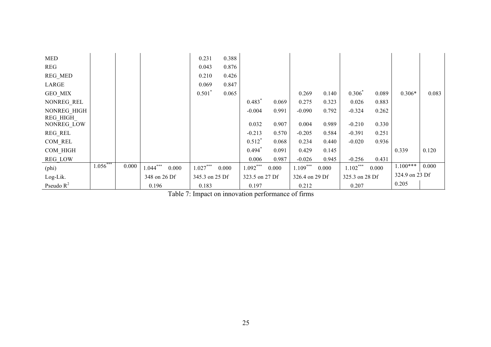| <b>MED</b>     |             |       |              |       | 0.231          | 0.388 |                |       |                |       |                |       |                |       |
|----------------|-------------|-------|--------------|-------|----------------|-------|----------------|-------|----------------|-------|----------------|-------|----------------|-------|
| <b>REG</b>     |             |       |              |       | 0.043          | 0.876 |                |       |                |       |                |       |                |       |
| REG_MED        |             |       |              |       | 0.210          | 0.426 |                |       |                |       |                |       |                |       |
| LARGE          |             |       |              |       | 0.069          | 0.847 |                |       |                |       |                |       |                |       |
| GEO MIX        |             |       |              |       | $0.501*$       | 0.065 |                |       | 0.269          | 0.140 | $0.306^{*}$    | 0.089 | $0.306*$       | 0.083 |
| NONREG REL     |             |       |              |       |                |       | $0.483*$       | 0.069 | 0.275          | 0.323 | 0.026          | 0.883 |                |       |
| NONREG HIGH    |             |       |              |       |                |       | $-0.004$       | 0.991 | $-0.090$       | 0.792 | $-0.324$       | 0.262 |                |       |
| REG HIGH       |             |       |              |       |                |       |                |       |                |       |                |       |                |       |
| NONREG_LOW     |             |       |              |       |                |       | 0.032          | 0.907 | 0.004          | 0.989 | $-0.210$       | 0.330 |                |       |
| REG_REL        |             |       |              |       |                |       | $-0.213$       | 0.570 | $-0.205$       | 0.584 | $-0.391$       | 0.251 |                |       |
| COM REL        |             |       |              |       |                |       | $0.512*$       | 0.068 | 0.234          | 0.440 | $-0.020$       | 0.936 |                |       |
| COM HIGH       |             |       |              |       |                |       | $0.494*$       | 0.091 | 0.429          | 0.145 |                |       | 0.339          | 0.120 |
| <b>REG LOW</b> |             |       |              |       |                |       | 0.006          | 0.987 | $-0.026$       | 0.945 | $-0.256$       | 0.431 |                |       |
| $(\text{phi})$ | $1.056$ *** | 0.000 | $1.044***$   | 0.000 | $1.027***$     | 0.000 | $1.092***$     | 0.000 | $1.109***$     | 0.000 | $1.102***$     | 0.000 | $1.100***$     | 0.000 |
| Log-Lik.       |             |       | 348 on 26 Df |       | 345.3 on 25 Df |       | 323.5 on 27 Df |       | 326.4 on 29 Df |       | 325.3 on 28 Df |       | 324.9 on 23 Df |       |
| Pseudo $R^2$   |             |       | 0.196        |       | 0.183          |       | 0.197          |       | 0.212          |       | 0.207          |       | 0.205          |       |

Table 7: Impact on innovation performance of firms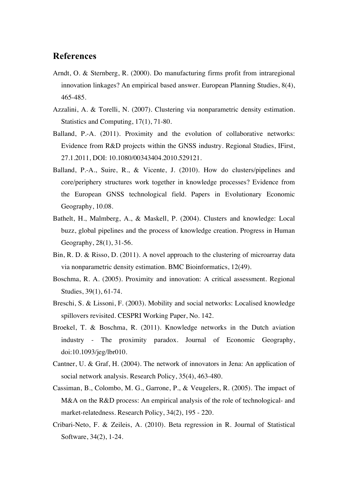## **References**

- Arndt, O. & Sternberg, R. (2000). Do manufacturing firms profit from intraregional innovation linkages? An empirical based answer. European Planning Studies, 8(4), 465-485.
- Azzalini, A. & Torelli, N. (2007). Clustering via nonparametric density estimation. Statistics and Computing, 17(1), 71-80.
- Balland, P.-A. (2011). Proximity and the evolution of collaborative networks: Evidence from R&D projects within the GNSS industry. Regional Studies, IFirst, 27.1.2011, DOI: 10.1080/00343404.2010.529121.
- Balland, P.-A., Suire, R., & Vicente, J. (2010). How do clusters/pipelines and core/periphery structures work together in knowledge processes? Evidence from the European GNSS technological field. Papers in Evolutionary Economic Geography, 10.08.
- Bathelt, H., Malmberg, A., & Maskell, P. (2004). Clusters and knowledge: Local buzz, global pipelines and the process of knowledge creation. Progress in Human Geography, 28(1), 31-56.
- Bin, R. D. & Risso, D. (2011). A novel approach to the clustering of microarray data via nonparametric density estimation. BMC Bioinformatics, 12(49).
- Boschma, R. A. (2005). Proximity and innovation: A critical assessment. Regional Studies, 39(1), 61-74.
- Breschi, S. & Lissoni, F. (2003). Mobility and social networks: Localised knowledge spillovers revisited. CESPRI Working Paper, No. 142.
- Broekel, T. & Boschma, R. (2011). Knowledge networks in the Dutch aviation industry - The proximity paradox. Journal of Economic Geography, doi:10.1093/jeg/lbr010.
- Cantner, U. & Graf, H. (2004). The network of innovators in Jena: An application of social network analysis. Research Policy, 35(4), 463-480.
- Cassiman, B., Colombo, M. G., Garrone, P., & Veugelers, R. (2005). The impact of M&A on the R&D process: An empirical analysis of the role of technological- and market-relatedness. Research Policy, 34(2), 195 - 220.
- Cribari-Neto, F. & Zeileis, A. (2010). Beta regression in R. Journal of Statistical Software, 34(2), 1-24.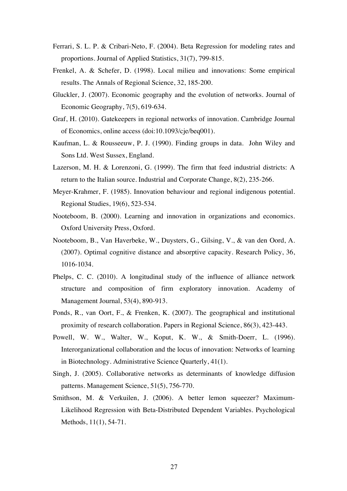- Ferrari, S. L. P. & Cribari-Neto, F. (2004). Beta Regression for modeling rates and proportions. Journal of Applied Statistics, 31(7), 799-815.
- Frenkel, A. & Schefer, D. (1998). Local milieu and innovations: Some empirical results. The Annals of Regional Science, 32, 185-200.
- Gluckler, J. (2007). Economic geography and the evolution of networks. Journal of Economic Geography, 7(5), 619-634.
- Graf, H. (2010). Gatekeepers in regional networks of innovation. Cambridge Journal of Economics, online access (doi:10.1093/cje/beq001).
- Kaufman, L. & Rousseeuw, P. J. (1990). Finding groups in data. John Wiley and Sons Ltd. West Sussex, England.
- Lazerson, M. H. & Lorenzoni, G. (1999). The firm that feed industrial districts: A return to the Italian source. Industrial and Corporate Change, 8(2), 235-266.
- Meyer-Krahmer, F. (1985). Innovation behaviour and regional indigenous potential. Regional Studies, 19(6), 523-534.
- Nooteboom, B. (2000). Learning and innovation in organizations and economics. Oxford University Press, Oxford.
- Nooteboom, B., Van Haverbeke, W., Duysters, G., Gilsing, V., & van den Oord, A. (2007). Optimal cognitive distance and absorptive capacity. Research Policy, 36, 1016-1034.
- Phelps, C. C. (2010). A longitudinal study of the influence of alliance network structure and composition of firm exploratory innovation. Academy of Management Journal, 53(4), 890-913.
- Ponds, R., van Oort, F., & Frenken, K. (2007). The geographical and institutional proximity of research collaboration. Papers in Regional Science, 86(3), 423-443.
- Powell, W. W., Walter, W., Koput, K. W., & Smith-Doerr, L. (1996). Interorganizational collaboration and the locus of innovation: Networks of learning in Biotechnology. Administrative Science Quarterly, 41(1).
- Singh, J. (2005). Collaborative networks as determinants of knowledge diffusion patterns. Management Science, 51(5), 756-770.
- Smithson, M. & Verkuilen, J. (2006). A better lemon squeezer? Maximum-Likelihood Regression with Beta-Distributed Dependent Variables. Psychological Methods, 11(1), 54-71.